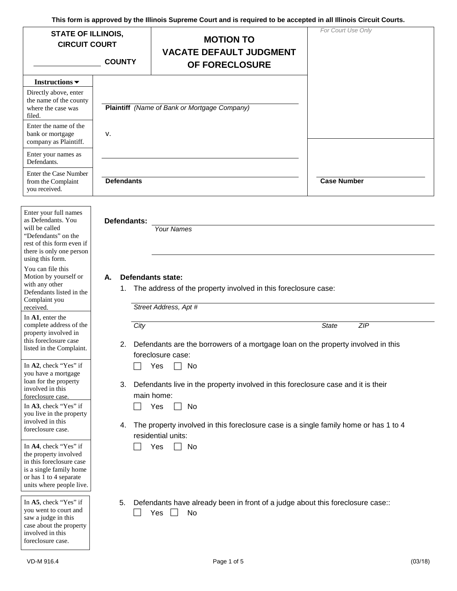| <b>STATE OF ILLINOIS,</b><br><b>CIRCUIT COURT</b>                                                                                                                                                            | <b>COUNTY</b>     | <b>MOTION TO</b><br><b>VACATE DEFAULT JUDGMENT</b><br>OF FORECLOSURE                                                                                                                                                                    | For Court Use Only  |
|--------------------------------------------------------------------------------------------------------------------------------------------------------------------------------------------------------------|-------------------|-----------------------------------------------------------------------------------------------------------------------------------------------------------------------------------------------------------------------------------------|---------------------|
| Instructions $\blacktriangledown$<br>Directly above, enter<br>the name of the county<br>where the case was                                                                                                   |                   | Plaintiff (Name of Bank or Mortgage Company)                                                                                                                                                                                            |                     |
| filed.<br>Enter the name of the<br>bank or mortgage<br>company as Plaintiff.                                                                                                                                 | ν.                |                                                                                                                                                                                                                                         |                     |
| Enter your names as<br>Defendants.                                                                                                                                                                           |                   |                                                                                                                                                                                                                                         |                     |
| <b>Enter the Case Number</b><br>from the Complaint<br>you received.                                                                                                                                          | <b>Defendants</b> |                                                                                                                                                                                                                                         | <b>Case Number</b>  |
| there is only one person<br>using this form.<br>You can file this<br>Motion by yourself or<br>with any other<br>Defendants listed in the<br>Complaint you<br>received.<br>In A1, enter the                   | А.<br>1.          | Defendants state:<br>The address of the property involved in this foreclosure case:<br>Street Address, Apt #                                                                                                                            |                     |
| complete address of the<br>property involved in<br>this foreclosure case<br>listed in the Complaint.                                                                                                         | City              | Defendants are the borrowers of a mortgage loan on the property involved in this<br>foreclosure case:                                                                                                                                   | <b>ZIP</b><br>State |
| In A2, check "Yes" if<br>you have a mortgage<br>loan for the property<br>involved in this<br>foreclosure case.<br>In A3, check "Yes" if<br>you live in the property<br>involved in this<br>foreclosure case. | 3.<br>4.          | Yes<br>No<br>Defendants live in the property involved in this foreclosure case and it is their<br>main home:<br>Yes<br>No<br>The property involved in this foreclosure case is a single family home or has 1 to 4<br>residential units: |                     |
| In A4, check "Yes" if<br>the property involved<br>in this foreclosure case<br>is a single family home<br>or has 1 to 4 separate<br>units where people live.                                                  |                   | Yes<br>No                                                                                                                                                                                                                               |                     |
| In A5, check "Yes" if<br>you went to court and<br>saw a judge in this                                                                                                                                        | 5.                | Defendants have already been in front of a judge about this foreclosure case:<br>Yes<br>No                                                                                                                                              |                     |

case about the property involved in this foreclosure case.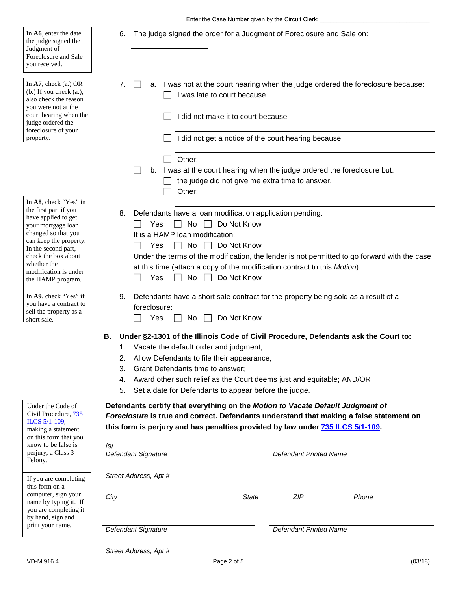6. The judge signed the order for a Judgment of Foreclosure and Sale on:

| Judgment of<br>Foreclosure and Sale<br>you received.                                                                                                                                                                                                    |                                                                                                                                                                                                                                                                                   |                                                                                                                                                              |  |  |  |  |  |  |  |
|---------------------------------------------------------------------------------------------------------------------------------------------------------------------------------------------------------------------------------------------------------|-----------------------------------------------------------------------------------------------------------------------------------------------------------------------------------------------------------------------------------------------------------------------------------|--------------------------------------------------------------------------------------------------------------------------------------------------------------|--|--|--|--|--|--|--|
| In $A7$ , check (a.) OR<br>$(b.)$ If you check $(a.),$<br>also check the reason<br>you were not at the                                                                                                                                                  | 7.<br>I was late to court because                                                                                                                                                                                                                                                 | a. I was not at the court hearing when the judge ordered the foreclosure because:                                                                            |  |  |  |  |  |  |  |
| court hearing when the<br>judge ordered the<br>foreclosure of your<br>property.                                                                                                                                                                         | I did not make it to court because                                                                                                                                                                                                                                                | I did not get a notice of the court hearing because                                                                                                          |  |  |  |  |  |  |  |
|                                                                                                                                                                                                                                                         | Other:                                                                                                                                                                                                                                                                            | b. I was at the court hearing when the judge ordered the foreclosure but:                                                                                    |  |  |  |  |  |  |  |
|                                                                                                                                                                                                                                                         |                                                                                                                                                                                                                                                                                   | the judge did not give me extra time to answer.                                                                                                              |  |  |  |  |  |  |  |
| In A8, check "Yes" in<br>the first part if you<br>have applied to get<br>your mortgage loan<br>changed so that you<br>can keep the property.<br>In the second part,<br>check the box about<br>whether the<br>modification is under<br>the HAMP program. | 8.<br>Defendants have a loan modification application pending:<br>$\Box$ Do Not Know<br>No<br>Yes<br>It is a HAMP loan modification:<br>No $\Box$ Do Not Know<br>Yes<br>at this time (attach a copy of the modification contract to this Motion).<br>No $\Box$ Do Not Know<br>Yes | Under the terms of the modification, the lender is not permitted to go forward with the case                                                                 |  |  |  |  |  |  |  |
| In A9, check "Yes" if<br>you have a contract to<br>sell the property as a<br>short sale.                                                                                                                                                                | Defendants have a short sale contract for the property being sold as a result of a<br>9.<br>foreclosure:<br>Do Not Know<br>$No$ $  $<br>Yes                                                                                                                                       |                                                                                                                                                              |  |  |  |  |  |  |  |
|                                                                                                                                                                                                                                                         | В.<br>1. Vacate the default order and judgment;<br>Allow Defendants to file their appearance;<br>2.<br>Grant Defendants time to answer;<br>3.<br>4.<br>Set a date for Defendants to appear before the judge.<br>5.                                                                | Under §2-1301 of the Illinois Code of Civil Procedure, Defendants ask the Court to:<br>Award other such relief as the Court deems just and equitable; AND/OR |  |  |  |  |  |  |  |
| Under the Code of<br>Civil Procedure, 735<br>ILCS 5/1-109,<br>making a statement<br>on this form that you<br>know to be false is<br>perjury, a Class 3<br>Felony.                                                                                       | Defendants certify that everything on the Motion to Vacate Default Judgment of<br>this form is perjury and has penalties provided by law under 735 ILCS 5/1-109.<br>/S/                                                                                                           | Foreclosure is true and correct. Defendants understand that making a false statement on                                                                      |  |  |  |  |  |  |  |
|                                                                                                                                                                                                                                                         | Defendant Signature<br><b>Defendant Printed Name</b>                                                                                                                                                                                                                              |                                                                                                                                                              |  |  |  |  |  |  |  |
| If you are completing<br>this form on a                                                                                                                                                                                                                 | Street Address, Apt #                                                                                                                                                                                                                                                             |                                                                                                                                                              |  |  |  |  |  |  |  |
| computer, sign your<br>name by typing it. If<br>you are completing it<br>by hand, sign and                                                                                                                                                              | City                                                                                                                                                                                                                                                                              | ZIP<br><b>State</b><br>Phone                                                                                                                                 |  |  |  |  |  |  |  |
| print your name.                                                                                                                                                                                                                                        | Defendant Signature                                                                                                                                                                                                                                                               | <b>Defendant Printed Name</b>                                                                                                                                |  |  |  |  |  |  |  |
|                                                                                                                                                                                                                                                         | Street Address, Apt #                                                                                                                                                                                                                                                             |                                                                                                                                                              |  |  |  |  |  |  |  |

the judge signed the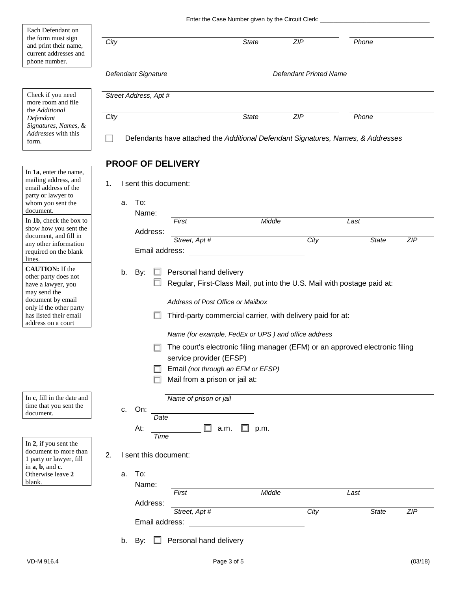|                                                  |                                                                         |                          |                                   | Enter the Case Number given by the Circuit Clerk:          |                               |                                                                                  |            |  |  |
|--------------------------------------------------|-------------------------------------------------------------------------|--------------------------|-----------------------------------|------------------------------------------------------------|-------------------------------|----------------------------------------------------------------------------------|------------|--|--|
| Each Defendant on                                |                                                                         |                          |                                   |                                                            |                               |                                                                                  |            |  |  |
| the form must sign                               | City                                                                    |                          |                                   | <b>State</b>                                               | <b>ZIP</b>                    | Phone                                                                            |            |  |  |
| and print their name,                            |                                                                         |                          |                                   |                                                            |                               |                                                                                  |            |  |  |
| current addresses and<br>phone number.           |                                                                         |                          |                                   |                                                            |                               |                                                                                  |            |  |  |
|                                                  |                                                                         |                          |                                   |                                                            |                               |                                                                                  |            |  |  |
|                                                  |                                                                         | Defendant Signature      |                                   |                                                            | <b>Defendant Printed Name</b> |                                                                                  |            |  |  |
|                                                  |                                                                         |                          |                                   |                                                            |                               |                                                                                  |            |  |  |
| Check if you need                                | Street Address, Apt #                                                   |                          |                                   |                                                            |                               |                                                                                  |            |  |  |
| more room and file<br>the Additional             |                                                                         |                          |                                   |                                                            |                               |                                                                                  |            |  |  |
| Defendant                                        | City                                                                    |                          |                                   | <b>State</b>                                               | <b>ZIP</b>                    | Phone                                                                            |            |  |  |
| Signatures, Names, &                             |                                                                         |                          |                                   |                                                            |                               |                                                                                  |            |  |  |
| Addresses with this                              |                                                                         |                          |                                   |                                                            |                               | Defendants have attached the Additional Defendant Signatures, Names, & Addresses |            |  |  |
| form.                                            |                                                                         |                          |                                   |                                                            |                               |                                                                                  |            |  |  |
|                                                  |                                                                         |                          |                                   |                                                            |                               |                                                                                  |            |  |  |
|                                                  |                                                                         | <b>PROOF OF DELIVERY</b> |                                   |                                                            |                               |                                                                                  |            |  |  |
| In 1a, enter the name,                           |                                                                         |                          |                                   |                                                            |                               |                                                                                  |            |  |  |
| mailing address, and<br>email address of the     | 1.                                                                      | I sent this document:    |                                   |                                                            |                               |                                                                                  |            |  |  |
| party or lawyer to                               |                                                                         |                          |                                   |                                                            |                               |                                                                                  |            |  |  |
| whom you sent the                                | a.                                                                      | To:                      |                                   |                                                            |                               |                                                                                  |            |  |  |
| document.                                        |                                                                         | Name:                    |                                   |                                                            |                               |                                                                                  |            |  |  |
| In 1b, check the box to                          |                                                                         |                          | First                             | Middle                                                     |                               | Last                                                                             |            |  |  |
| show how you sent the<br>document, and fill in   |                                                                         | Address:                 |                                   |                                                            |                               |                                                                                  |            |  |  |
| any other information                            |                                                                         |                          | Street, Apt #                     |                                                            | City                          | <b>State</b>                                                                     | ZIP        |  |  |
| required on the blank                            |                                                                         | Email address:           |                                   |                                                            |                               |                                                                                  |            |  |  |
| lines.                                           |                                                                         |                          |                                   |                                                            |                               |                                                                                  |            |  |  |
| <b>CAUTION:</b> If the                           | b.                                                                      | By:                      | Personal hand delivery            |                                                            |                               |                                                                                  |            |  |  |
| other party does not<br>have a lawyer, you       |                                                                         |                          |                                   |                                                            |                               |                                                                                  |            |  |  |
| may send the                                     | Regular, First-Class Mail, put into the U.S. Mail with postage paid at: |                          |                                   |                                                            |                               |                                                                                  |            |  |  |
| document by email                                |                                                                         |                          | Address of Post Office or Mailbox |                                                            |                               |                                                                                  |            |  |  |
| only if the other party                          |                                                                         |                          |                                   |                                                            |                               |                                                                                  |            |  |  |
| has listed their email<br>address on a court     |                                                                         |                          |                                   | Third-party commercial carrier, with delivery paid for at: |                               |                                                                                  |            |  |  |
|                                                  |                                                                         |                          |                                   | Name (for example, FedEx or UPS) and office address        |                               |                                                                                  |            |  |  |
|                                                  |                                                                         |                          |                                   |                                                            |                               |                                                                                  |            |  |  |
|                                                  |                                                                         |                          |                                   |                                                            |                               | The court's electronic filing manager (EFM) or an approved electronic filing     |            |  |  |
|                                                  |                                                                         |                          | service provider (EFSP)           |                                                            |                               |                                                                                  |            |  |  |
|                                                  |                                                                         |                          |                                   | Email (not through an EFM or EFSP)                         |                               |                                                                                  |            |  |  |
|                                                  |                                                                         |                          | Mail from a prison or jail at:    |                                                            |                               |                                                                                  |            |  |  |
|                                                  |                                                                         |                          |                                   |                                                            |                               |                                                                                  |            |  |  |
| In c, fill in the date and                       |                                                                         |                          | Name of prison or jail            |                                                            |                               |                                                                                  |            |  |  |
| time that you sent the                           | C.                                                                      | On:                      |                                   |                                                            |                               |                                                                                  |            |  |  |
| document.                                        |                                                                         | Date                     |                                   |                                                            |                               |                                                                                  |            |  |  |
|                                                  |                                                                         | At:                      |                                   | a.m.<br>p.m.                                               |                               |                                                                                  |            |  |  |
|                                                  |                                                                         | <b>Time</b>              |                                   |                                                            |                               |                                                                                  |            |  |  |
| In 2, if you sent the                            |                                                                         |                          |                                   |                                                            |                               |                                                                                  |            |  |  |
| document to more than<br>1 party or lawyer, fill | 2.                                                                      | I sent this document:    |                                   |                                                            |                               |                                                                                  |            |  |  |
| in a, b, and c.                                  |                                                                         |                          |                                   |                                                            |                               |                                                                                  |            |  |  |
| Otherwise leave 2                                | a.                                                                      | To:                      |                                   |                                                            |                               |                                                                                  |            |  |  |
| blank.                                           |                                                                         | Name:                    |                                   |                                                            |                               |                                                                                  |            |  |  |
|                                                  |                                                                         |                          | First                             | Middle                                                     |                               | Last                                                                             |            |  |  |
|                                                  |                                                                         | Address:                 |                                   |                                                            |                               |                                                                                  |            |  |  |
|                                                  |                                                                         |                          | Street, Apt #                     |                                                            | City                          | <b>State</b>                                                                     | <b>ZIP</b> |  |  |
|                                                  |                                                                         | Email address:           |                                   |                                                            |                               |                                                                                  |            |  |  |
|                                                  |                                                                         |                          |                                   |                                                            |                               |                                                                                  |            |  |  |
|                                                  | b.                                                                      | By: [                    | Personal hand delivery            |                                                            |                               |                                                                                  |            |  |  |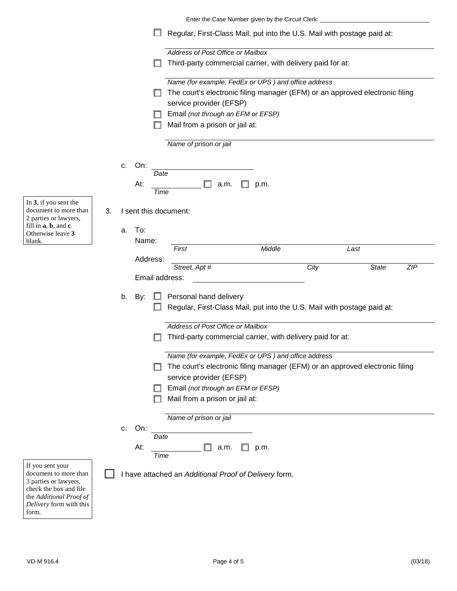|                                                                                              |                                                                                                 |    |                                                       |                                                                         |                        |                                    |  | Enter the Case Number given by the Circuit Clerk:                            |      |      |              |            |
|----------------------------------------------------------------------------------------------|-------------------------------------------------------------------------------------------------|----|-------------------------------------------------------|-------------------------------------------------------------------------|------------------------|------------------------------------|--|------------------------------------------------------------------------------|------|------|--------------|------------|
|                                                                                              |                                                                                                 |    |                                                       |                                                                         |                        |                                    |  | Regular, First-Class Mail, put into the U.S. Mail with postage paid at:      |      |      |              |            |
|                                                                                              |                                                                                                 |    |                                                       |                                                                         |                        | Address of Post Office or Mailbox  |  |                                                                              |      |      |              |            |
|                                                                                              |                                                                                                 |    |                                                       |                                                                         |                        |                                    |  | Third-party commercial carrier, with delivery paid for at:                   |      |      |              |            |
|                                                                                              |                                                                                                 |    |                                                       |                                                                         |                        |                                    |  | Name (for example, FedEx or UPS) and office address                          |      |      |              |            |
|                                                                                              |                                                                                                 |    |                                                       |                                                                         |                        |                                    |  | The court's electronic filing manager (EFM) or an approved electronic filing |      |      |              |            |
|                                                                                              |                                                                                                 |    |                                                       |                                                                         |                        | service provider (EFSP)            |  |                                                                              |      |      |              |            |
|                                                                                              |                                                                                                 |    |                                                       |                                                                         |                        | Email (not through an EFM or EFSP) |  |                                                                              |      |      |              |            |
|                                                                                              |                                                                                                 |    |                                                       |                                                                         |                        | Mail from a prison or jail at:     |  |                                                                              |      |      |              |            |
|                                                                                              |                                                                                                 |    |                                                       |                                                                         | Name of prison or jail |                                    |  |                                                                              |      |      |              |            |
|                                                                                              |                                                                                                 | c. | On:                                                   |                                                                         |                        |                                    |  |                                                                              |      |      |              |            |
|                                                                                              |                                                                                                 |    |                                                       | Date                                                                    |                        |                                    |  |                                                                              |      |      |              |            |
|                                                                                              |                                                                                                 |    | At:                                                   |                                                                         |                        | a.m.                               |  | p.m.                                                                         |      |      |              |            |
| In $3$ , if you sent the                                                                     |                                                                                                 |    |                                                       | Time                                                                    |                        |                                    |  |                                                                              |      |      |              |            |
| document to more than                                                                        | 3.                                                                                              |    |                                                       |                                                                         | I sent this document:  |                                    |  |                                                                              |      |      |              |            |
| 2 parties or lawyers,<br>fill in a, b, and c.                                                |                                                                                                 |    |                                                       |                                                                         |                        |                                    |  |                                                                              |      |      |              |            |
| Otherwise leave 3                                                                            |                                                                                                 | a. | To:                                                   |                                                                         |                        |                                    |  |                                                                              |      |      |              |            |
| blank.                                                                                       |                                                                                                 |    | Name:                                                 |                                                                         | First                  |                                    |  | Middle                                                                       |      | Last |              |            |
|                                                                                              |                                                                                                 |    | Address:                                              |                                                                         |                        |                                    |  |                                                                              |      |      |              |            |
|                                                                                              |                                                                                                 |    |                                                       |                                                                         | Street, Apt #          |                                    |  |                                                                              | City |      | <b>State</b> | <b>ZIP</b> |
|                                                                                              |                                                                                                 |    |                                                       |                                                                         | Email address:         |                                    |  |                                                                              |      |      |              |            |
|                                                                                              |                                                                                                 | b. | By:                                                   |                                                                         |                        | Personal hand delivery             |  |                                                                              |      |      |              |            |
|                                                                                              |                                                                                                 |    |                                                       | Regular, First-Class Mail, put into the U.S. Mail with postage paid at: |                        |                                    |  |                                                                              |      |      |              |            |
|                                                                                              |                                                                                                 |    |                                                       |                                                                         |                        |                                    |  |                                                                              |      |      |              |            |
|                                                                                              | Address of Post Office or Mailbox<br>Third-party commercial carrier, with delivery paid for at: |    |                                                       |                                                                         |                        |                                    |  |                                                                              |      |      |              |            |
|                                                                                              |                                                                                                 |    |                                                       |                                                                         |                        |                                    |  |                                                                              |      |      |              |            |
|                                                                                              |                                                                                                 |    |                                                       |                                                                         |                        |                                    |  | Name (for example, FedEx or UPS) and office address                          |      |      |              |            |
|                                                                                              |                                                                                                 |    |                                                       |                                                                         |                        |                                    |  | The court's electronic filing manager (EFM) or an approved electronic filing |      |      |              |            |
|                                                                                              |                                                                                                 |    |                                                       |                                                                         |                        | service provider (EFSP)            |  |                                                                              |      |      |              |            |
|                                                                                              |                                                                                                 |    |                                                       |                                                                         |                        | Email (not through an EFM or EFSP) |  |                                                                              |      |      |              |            |
|                                                                                              |                                                                                                 |    |                                                       |                                                                         |                        | Mail from a prison or jail at:     |  |                                                                              |      |      |              |            |
|                                                                                              |                                                                                                 |    |                                                       |                                                                         | Name of prison or jail |                                    |  |                                                                              |      |      |              |            |
|                                                                                              |                                                                                                 | c. | On:                                                   |                                                                         |                        |                                    |  |                                                                              |      |      |              |            |
|                                                                                              |                                                                                                 |    |                                                       | Date                                                                    |                        |                                    |  |                                                                              |      |      |              |            |
|                                                                                              |                                                                                                 |    | At:                                                   | Time                                                                    |                        | a.m.                               |  | p.m.                                                                         |      |      |              |            |
| If you sent your<br>document to more than<br>3 parties or lawyers,<br>check the box and file |                                                                                                 |    | I have attached an Additional Proof of Delivery form. |                                                                         |                        |                                    |  |                                                                              |      |      |              |            |
| the Additional Proof of<br>Delivery form with this<br>form.                                  |                                                                                                 |    |                                                       |                                                                         |                        |                                    |  |                                                                              |      |      |              |            |